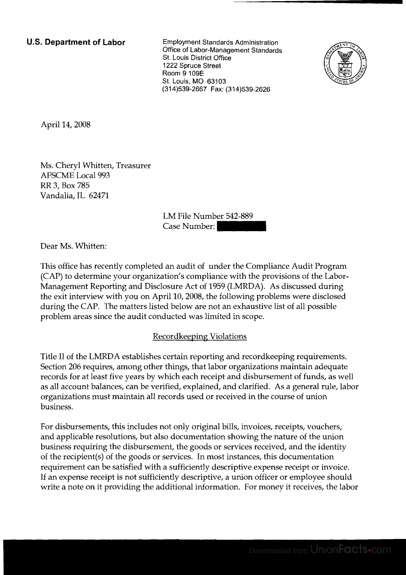**U.S. Department of Labor** Employment Standards Administration Office of Labor-Management Standards St. Louis District Office 1222 Spruce Street Room 9 109E St. Louis, MO 63103 (31 4)539-2667 Fax: (31 4)539-2626



April 14,2008

Ms. Cheryl Whitten, Treasurer AFSCME Local 993 RR 3, Box 785 Vandalia, IL 62471

LM File Number 542-889 Case Number: -

Dear Ms. Whitten:

This office has recently completed an audit of under the Compliance Audit Program (CAP) to determine your organization's compliance with the provisions of the Labor-Management Reporting and Disclosure Act of 1959 (LMRDA). As discussed during the exit interview with you on April 10,2008, the following problems were disclosed during the CAP. The matters listed below are not an exhaustive list of all possible problem areas since the audit conducted was limited in scope.

#### Recordkeeping Violations

Title I1 of the LMRDA establishes certain reporting and recordkeeping requirements. Section 206 requires, among other things, that labor organizations maintain adequate records for at least five years by which each receipt and disbursement of funds, as well as all account balances, can be verified, explained, and clarified. As a general rule, labor organizations must maintain all records used or received in the course of union business.

For disbursements, this includes not only original bills, invoices, receipts, vouchers, and applicable resolutions, but also documentation showing the nature of the union business requiring the disbursement, the goods or services received, and the identity of the recipient(s) of the goods or services. In most instances, this documentation requirement can be satisfied with a sufficiently descriptive expense receipt or invoice. If an expense receipt is not sufficiently descriptive, a union officer or employee should write a note on it providing the additional information. For money it receives, the labor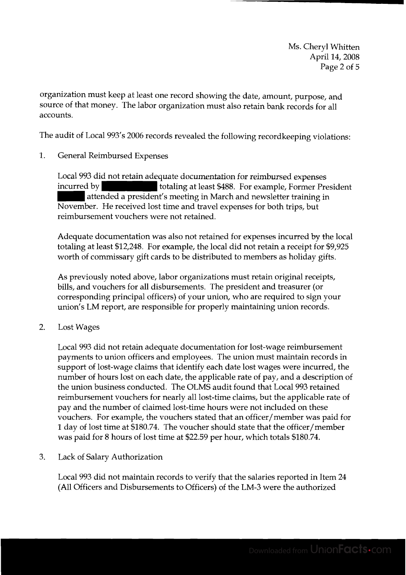organization must keep at least one record showing the date, amount, purpose, and source of that money. The labor organization must also retain bank records for all accounts.

The audit of Local 993's 2006 records revealed the following recordkeeping violations:

1. General Reimbursed Expenses

Local 993 did not retain adequate documentation for reimbursed expenses incurred by totaling at least \$488. For example, Former President attended a president's meeting in March and newsletter training in November. He received lost time and travel expenses for both trips, but reimbursement vouchers were not retained.

Adequate documentation was also not retained for expenses incurred by the local totaling at least \$12,248. For example, the local did not retain a receipt for \$9,925 worth of commissary gift cards to be distributed to members as holiday gifts.

As previously noted above, labor organizations must retain original receipts, bills, and vouchers for all disbursements. The president and treasurer (or corresponding principal officers) of your union, who are required to sign your union's LM report, are responsible for properly maintaining union records.

2. Lost Wages

Local 993 did not retain adequate documentation for lost-wage reimbursement payments to union officers and employees. The union must maintain records in support of lost-wage claims that identify each date lost wages were incurred, the number of hours lost on each date, the applicable rate of pay, and a description of the union business conducted. The OLMS audit found that Local 993 retained reimbursement vouchers for nearly all lost-time claims, but the applicable rate of pay and the number of claimed lost-time hours were not included on these vouchers. For example, the vouchers stated that an officer/ member was paid for 1 day of lost time at \$180.74. The voucher should state that the officer/member was paid for 8 hours of lost time at \$22.59 per hour, which totals \$180.74.

3. Lack of Salary Authorization

Local 993 did not maintain records to verify that the salaries reported in Item 24 (All Officers and Disbursements to Officers) of the LM-3 were the authorized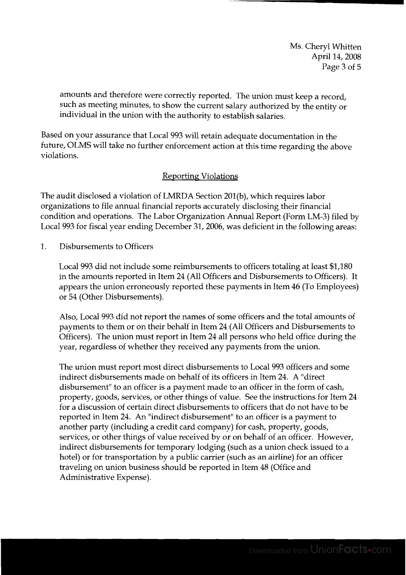amounts and therefore were correctly reported. The union must keep a record, such as meeting minutes, to show the current salary authorized by the entity or individual in the union with the authority to establish salaries.

Based on your assurance that Local 993 will retain adequate documentation in the future, OLMS will take no further enforcement action at this time regarding the above violations.

# Reporting Violations

The audit disclosed a violation of LMRDA Section 201(b), which requires labor organizations to file annual financial reports accurately disclosing their financial condition and operations. The Labor Organization Annual Report (Form LM-3) filed by Local 993 for fiscal year ending December 31,2006, was deficient in the following areas:

1. Disbursements to Officers

Local 993 did not include some reimbursements to officers totaling at least \$1,180 in the amounts reported in Item 24 (All Officers and Disbursements to Officers). It appears the union erroneously reported these payments in Item 46 (To Employees) or 54 (Other Disbursements).

Also, Local 993 did not report the names of some officers and the total amounts of payments to them or on their behalf in Item 24 (All Officers and Disbursements to Officers). The union must report in Item 24 all persons who held office during the year, regardless of whether they received any payments from the union.

The union must report most direct disbursements to Local 993 officers and some indirect disbursements made on behalf of its officers in Item 24. A "direct disbursement" to an officer is a payment made to an officer in the form of cash, property, goods, services, or other things of value. See the instructions for Item 24 for a discussion of certain direct disbursements to officers that do not have to be reported in Item 24. An "indirect disbursement" to an officer is a payment to another party (including a credit card company) for cash, property, goods, services, or other things of value received by or on behalf of an officer. However, indirect disbursements for temporary lodging (such as a union check issued to a hotel) or for transportation by a public carrier (such as an airline) for an officer traveling on union business should be reported in Item 48 (Office and Administrative Expense).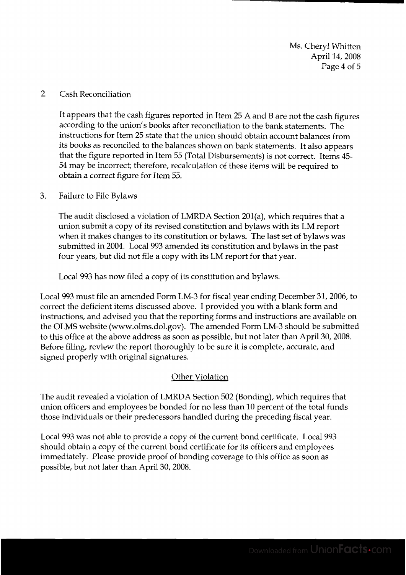Ms. Cheryl Whitten April 14,2008 Page 4 of 5

#### 2. Cash Reconciliation

It appears that the cash figures reported in Item 25 A and B are not the cash figures according to the union's books after reconciliation to the bank statements. The instructions for Item 25 state that the union should obtain account balances from its books as reconciled to the balances shown on bank statements. It also appears that the figure reported in Item 55 (Total Disbursements) is not correct. Items 45- 54 may be incorrect; therefore, recalculation of these items will be required to obtain **a** correct figure for Item 55.

### 3. Failure to File Bylaws

The audit disclosed a violation of LMRDA Section 201(a), which requires that a union submit a copy of its revised constitution and bylaws with its LM report when it makes changes to its constitution or bylaws. The last set of bylaws was submitted in 2004. Local 993 amended its constitution and bylaws in the past four years, but did not file a copy with its LM report for that year.

Local 993 has now filed a copy of its constitution and bylaws.

Local 993 must file an amended Form LM-3 for fiscal year ending December 31,2006, to correct the deficient items discussed above. I provided you with a blank form and instructions, and advised you that the reporting forms and instructions are available on the OLMS website (www.olms.dol.gov). The amended Form LM-3 should be submitted to this office at the above address as soon as possible, but not later than April 30,2008. Before filing, review the report thoroughly to be sure it is complete, accurate, and signed properly with original signatures.

# Other Violation

The audit revealed a violation of LMRDA Section 502 (Bonding), which requires that union officers and employees be bonded for no less than 10 percent of the total funds those individuals or their predecessors handled during the preceding fiscal year.

Local 993 was not able to provide a copy of the current bond certificate. Local 993 should obtain a copy of the current bond certificate for its officers and employees immediately. Please provide proof of bonding coverage to this office as soon as possible, but not later than April 30,2008.